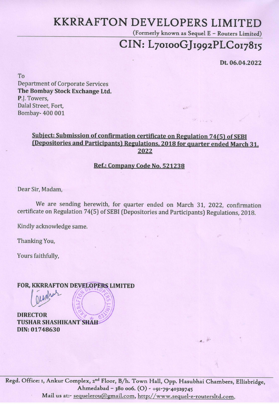# KKRRAFTON DEVELOPERS LIMITED

(Formerly known as Sequel E - Routers Limited)

 $25.1162$ 

# CIN: L70100GJ1992PLC017815

Dt. 06.04.2022

To Department of Corporate Services The Bombay Stock Exchange Ltd. P.J. Towers, Dalal Street, Fort, Bombay- 400 001 '

### Subject: Submission of confirmation certificate on Regulation 74(5) of SEBI (Depositories and Participants) Regulations, 2018 for quarter ended March 31, 2022

### Ref.: Company Code No. 521238

Dear Sir, Madam,

Regd. Office: 1, Ankur Complex, 2<sup>nd</sup> Floor, B/h. Town Hall, Opp. Hasubhai Chambers, Ellisbridge, Ahmedabad - 380 006. (0) - +91-79-40329745 Mail us at:- sequelerou@gmail.com, http://www.sequel-e-routersltd.com,

We are sending herewith, for quarter ended on March 31, 2022, confirmation certificate on Regulation 7 4(5) of SEBI (Depositories and Participants) Regulations, 2018.

Kindly acknowledge same.

Thanking You,

•

Yours faithfully,

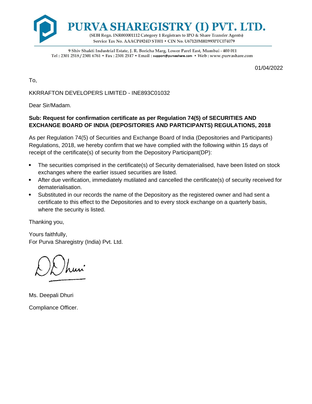

9 Shiv Shakti Industrial Estate, J. R. Boricha Marg, Lower Parel East, Mumbai - 400 011 Tel: 2301 2518 / 2301 6761 • Fax: 2301 2517 • Email: support@purvashare.com • Web: www.purvashare.com

01/04/2022

To,

KKRRAFTON DEVELOPERS LIMITED - INE893C01032

Dear Sir/Madam.

#### **Sub: Request for confirmation certificate as per Regulation 74(5) of SECURITIES AND EXCHANGE BOARD OF INDIA (DEPOSITORIES AND PARTICIPANTS) REGULATIONS, 2018**

As per Regulation 74(5) of Securities and Exchange Board of India (Depositories and Participants) Regulations, 2018, we hereby confirm that we have complied with the following within 15 days of receipt of the certificate(s) of security from the Depository Participant(DP):

- The securities comprised in the certificate(s) of Security dematerialised, have been listed on stock exchanges where the earlier issued securities are listed.
- After due verification, immediately mutilated and cancelled the certificate(s) of security received for dematerialisation.
- Substituted in our records the name of the Depository as the registered owner and had sent a certificate to this effect to the Depositories and to every stock exchange on a quarterly basis, where the security is listed.

Thanking you,

Yours faithfully, For Purva Sharegistry (India) Pvt. Ltd.

Ms. Deepali Dhuri Compliance Officer.